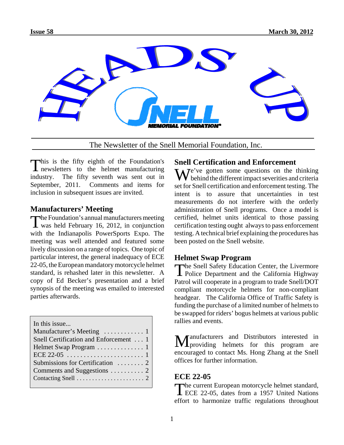

The Newsletter of the Snell Memorial Foundation, Inc.

This is the fifty eighth of the Foundation's **L** newsletters to the helmet manufacturing industry. The fifty seventh was sent out in September, 2011. Comments and items for inclusion in subsequent issues are invited.

## **Manufacturers' Meeting**

The Foundation's annual manufacturers meeting<br>was held February 16, 2012, in conjunction with the Indianapolis PowerSports Expo. The meeting was well attended and featured some lively discussion on a range of topics. One topic of particular interest, the general inadequacy of ECE 22-05, the European mandatory motorcycle helmet standard, is rehashed later in this newsletter. A copy of Ed Becker's presentation and a brief synopsis of the meeting was emailed to interested parties afterwards.

| In this issue<br>Snell Certification and Enforcement  1 |
|---------------------------------------------------------|
|                                                         |
|                                                         |
|                                                         |
|                                                         |
|                                                         |
|                                                         |

# **Snell Certification and Enforcement**

 $\mathbf{W}$ <sup>e</sup>'ve gotten some questions on the thinking behind the different impact severities and criteria set for Snell certification and enforcement testing. The intent is to assure that uncertainties in test measurements do not interfere with the orderly administration of Snell programs. Once a model is certified, helmet units identical to those passing certification testing ought always to pass enforcement testing. A technical brief explaining the procedures has been posted on the Snell website.

**Helmet Swap Program**<br>The Snell Safety Education Center, the Livermore The Snell Safety Education Center, the Livermore Police Department and the California Highway Patrol will cooperate in a program to trade Snell/DOT compliant motorcycle helmets for non-compliant headgear. The California Office of Traffic Safety is funding the purchase of a limited number of helmets to be swapped for riders' bogus helmets at various public rallies and events.

Manufacturers and Distributors interested in providing helmets for this program are encouraged to contact Ms. Hong Zhang at the Snell offices for further information.

# **ECE 22-05**

The current European motorcycle helmet standard,<br>ECE 22-05, dates from a 1957 United Nations effort to harmonize traffic regulations throughout